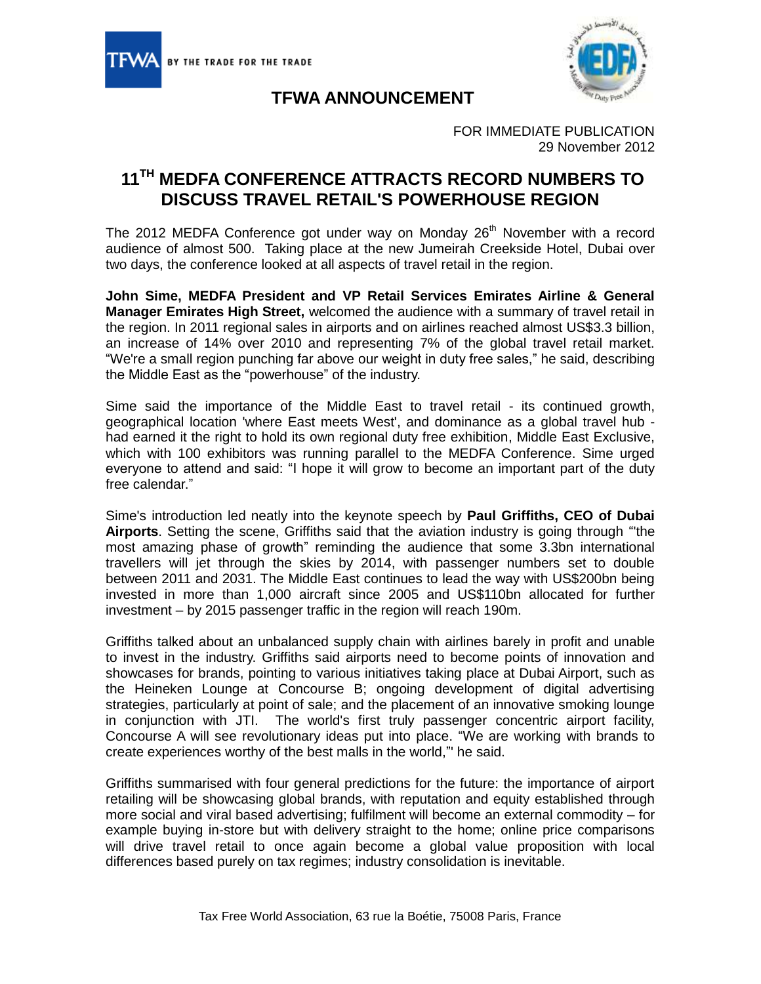



## **TFWA ANNOUNCEMENT**

FOR IMMEDIATE PUBLICATION 29 November 2012

## **11TH MEDFA CONFERENCE ATTRACTS RECORD NUMBERS TO DISCUSS TRAVEL RETAIL'S POWERHOUSE REGION**

The 2012 MEDFA Conference got under way on Monday  $26<sup>th</sup>$  November with a record audience of almost 500. Taking place at the new Jumeirah Creekside Hotel, Dubai over two days, the conference looked at all aspects of travel retail in the region.

**John Sime, MEDFA President and VP Retail Services Emirates Airline & General Manager Emirates High Street,** welcomed the audience with a summary of travel retail in the region. In 2011 regional sales in airports and on airlines reached almost US\$3.3 billion, an increase of 14% over 2010 and representing 7% of the global travel retail market. "We're a small region punching far above our weight in duty free sales," he said, describing the Middle East as the "powerhouse" of the industry.

Sime said the importance of the Middle East to travel retail - its continued growth, geographical location 'where East meets West', and dominance as a global travel hub had earned it the right to hold its own regional duty free exhibition, Middle East Exclusive, which with 100 exhibitors was running parallel to the MEDFA Conference. Sime urged everyone to attend and said: "I hope it will grow to become an important part of the duty free calendar."

Sime's introduction led neatly into the keynote speech by **Paul Griffiths, CEO of Dubai Airports**. Setting the scene, Griffiths said that the aviation industry is going through "'the most amazing phase of growth" reminding the audience that some 3.3bn international travellers will jet through the skies by 2014, with passenger numbers set to double between 2011 and 2031. The Middle East continues to lead the way with US\$200bn being invested in more than 1,000 aircraft since 2005 and US\$110bn allocated for further investment – by 2015 passenger traffic in the region will reach 190m.

Griffiths talked about an unbalanced supply chain with airlines barely in profit and unable to invest in the industry. Griffiths said airports need to become points of innovation and showcases for brands, pointing to various initiatives taking place at Dubai Airport, such as the Heineken Lounge at Concourse B; ongoing development of digital advertising strategies, particularly at point of sale; and the placement of an innovative smoking lounge in conjunction with JTI. The world's first truly passenger concentric airport facility, Concourse A will see revolutionary ideas put into place. "We are working with brands to create experiences worthy of the best malls in the world,"' he said.

Griffiths summarised with four general predictions for the future: the importance of airport retailing will be showcasing global brands, with reputation and equity established through more social and viral based advertising; fulfilment will become an external commodity – for example buying in-store but with delivery straight to the home; online price comparisons will drive travel retail to once again become a global value proposition with local differences based purely on tax regimes; industry consolidation is inevitable.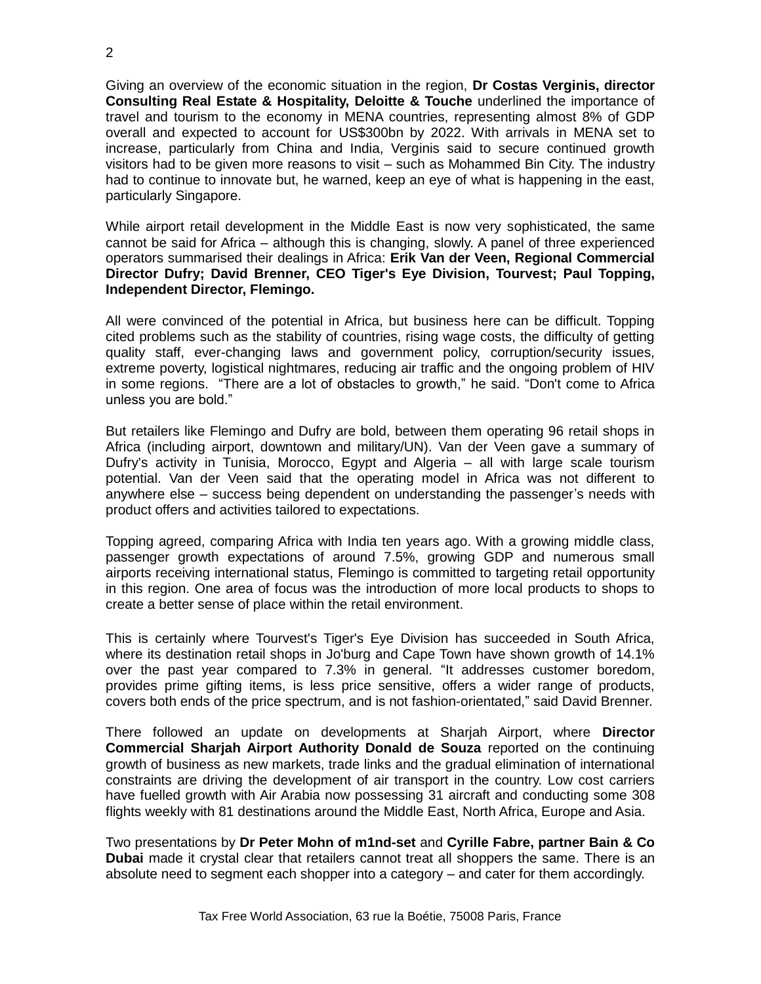Giving an overview of the economic situation in the region, **Dr Costas Verginis, director Consulting Real Estate & Hospitality, Deloitte & Touche** underlined the importance of travel and tourism to the economy in MENA countries, representing almost 8% of GDP overall and expected to account for US\$300bn by 2022. With arrivals in MENA set to increase, particularly from China and India, Verginis said to secure continued growth visitors had to be given more reasons to visit – such as Mohammed Bin City. The industry had to continue to innovate but, he warned, keep an eye of what is happening in the east, particularly Singapore.

While airport retail development in the Middle East is now very sophisticated, the same cannot be said for Africa – although this is changing, slowly. A panel of three experienced operators summarised their dealings in Africa: **Erik Van der Veen, Regional Commercial Director Dufry; David Brenner, CEO Tiger's Eye Division, Tourvest; Paul Topping, Independent Director, Flemingo.**

All were convinced of the potential in Africa, but business here can be difficult. Topping cited problems such as the stability of countries, rising wage costs, the difficulty of getting quality staff, ever-changing laws and government policy, corruption/security issues, extreme poverty, logistical nightmares, reducing air traffic and the ongoing problem of HIV in some regions. "There are a lot of obstacles to growth," he said. "Don't come to Africa unless you are bold."

But retailers like Flemingo and Dufry are bold, between them operating 96 retail shops in Africa (including airport, downtown and military/UN). Van der Veen gave a summary of Dufry's activity in Tunisia, Morocco, Egypt and Algeria – all with large scale tourism potential. Van der Veen said that the operating model in Africa was not different to anywhere else – success being dependent on understanding the passenger's needs with product offers and activities tailored to expectations.

Topping agreed, comparing Africa with India ten years ago. With a growing middle class, passenger growth expectations of around 7.5%, growing GDP and numerous small airports receiving international status, Flemingo is committed to targeting retail opportunity in this region. One area of focus was the introduction of more local products to shops to create a better sense of place within the retail environment.

This is certainly where Tourvest's Tiger's Eye Division has succeeded in South Africa, where its destination retail shops in Jo'burg and Cape Town have shown growth of 14.1% over the past year compared to 7.3% in general. "It addresses customer boredom, provides prime gifting items, is less price sensitive, offers a wider range of products, covers both ends of the price spectrum, and is not fashion-orientated," said David Brenner.

There followed an update on developments at Sharjah Airport, where **Director Commercial Sharjah Airport Authority Donald de Souza** reported on the continuing growth of business as new markets, trade links and the gradual elimination of international constraints are driving the development of air transport in the country. Low cost carriers have fuelled growth with Air Arabia now possessing 31 aircraft and conducting some 308 flights weekly with 81 destinations around the Middle East, North Africa, Europe and Asia.

Two presentations by **Dr Peter Mohn of m1nd-set** and **Cyrille Fabre, partner Bain & Co Dubai** made it crystal clear that retailers cannot treat all shoppers the same. There is an absolute need to segment each shopper into a category – and cater for them accordingly.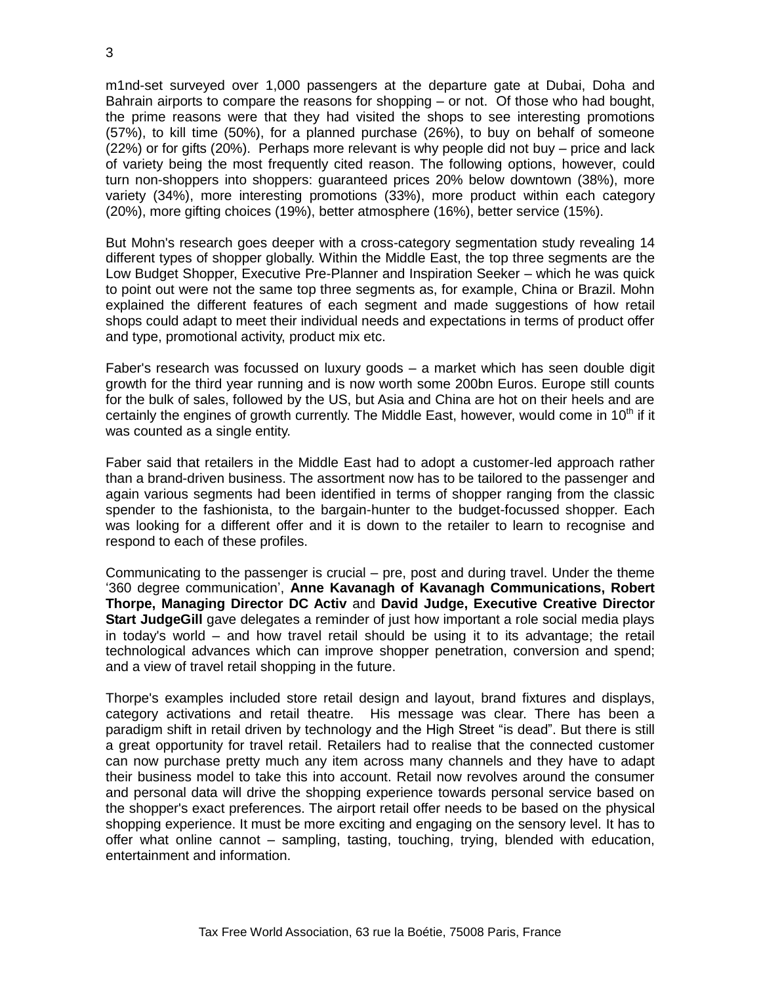m1nd-set surveyed over 1,000 passengers at the departure gate at Dubai, Doha and Bahrain airports to compare the reasons for shopping – or not. Of those who had bought, the prime reasons were that they had visited the shops to see interesting promotions (57%), to kill time (50%), for a planned purchase (26%), to buy on behalf of someone (22%) or for gifts (20%). Perhaps more relevant is why people did not buy – price and lack of variety being the most frequently cited reason. The following options, however, could turn non-shoppers into shoppers: guaranteed prices 20% below downtown (38%), more variety (34%), more interesting promotions (33%), more product within each category (20%), more gifting choices (19%), better atmosphere (16%), better service (15%).

But Mohn's research goes deeper with a cross-category segmentation study revealing 14 different types of shopper globally. Within the Middle East, the top three segments are the Low Budget Shopper, Executive Pre-Planner and Inspiration Seeker – which he was quick to point out were not the same top three segments as, for example, China or Brazil. Mohn explained the different features of each segment and made suggestions of how retail shops could adapt to meet their individual needs and expectations in terms of product offer and type, promotional activity, product mix etc.

Faber's research was focussed on luxury goods – a market which has seen double digit growth for the third year running and is now worth some 200bn Euros. Europe still counts for the bulk of sales, followed by the US, but Asia and China are hot on their heels and are certainly the engines of growth currently. The Middle East, however, would come in  $10<sup>th</sup>$  if it was counted as a single entity.

Faber said that retailers in the Middle East had to adopt a customer-led approach rather than a brand-driven business. The assortment now has to be tailored to the passenger and again various segments had been identified in terms of shopper ranging from the classic spender to the fashionista, to the bargain-hunter to the budget-focussed shopper. Each was looking for a different offer and it is down to the retailer to learn to recognise and respond to each of these profiles.

Communicating to the passenger is crucial – pre, post and during travel. Under the theme '360 degree communication', **Anne Kavanagh of Kavanagh Communications, Robert Thorpe, Managing Director DC Activ** and **David Judge, Executive Creative Director Start JudgeGill** gave delegates a reminder of just how important a role social media plays in today's world – and how travel retail should be using it to its advantage; the retail technological advances which can improve shopper penetration, conversion and spend; and a view of travel retail shopping in the future.

Thorpe's examples included store retail design and layout, brand fixtures and displays, category activations and retail theatre. His message was clear. There has been a paradigm shift in retail driven by technology and the High Street "is dead". But there is still a great opportunity for travel retail. Retailers had to realise that the connected customer can now purchase pretty much any item across many channels and they have to adapt their business model to take this into account. Retail now revolves around the consumer and personal data will drive the shopping experience towards personal service based on the shopper's exact preferences. The airport retail offer needs to be based on the physical shopping experience. It must be more exciting and engaging on the sensory level. It has to offer what online cannot – sampling, tasting, touching, trying, blended with education, entertainment and information.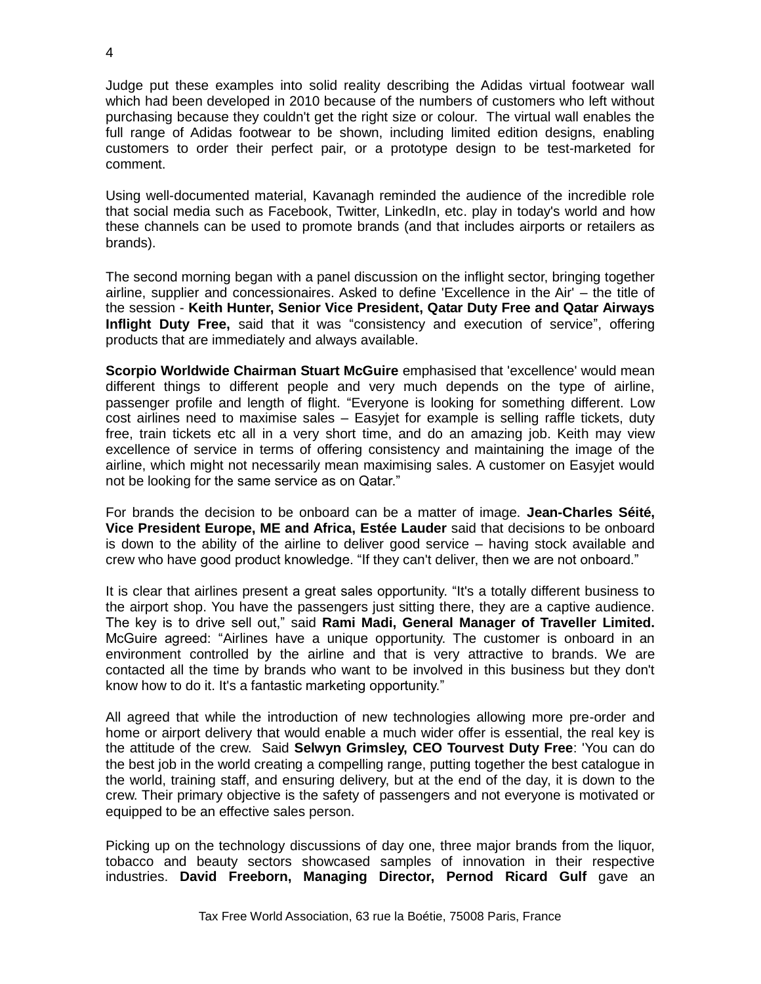Judge put these examples into solid reality describing the Adidas virtual footwear wall which had been developed in 2010 because of the numbers of customers who left without purchasing because they couldn't get the right size or colour. The virtual wall enables the full range of Adidas footwear to be shown, including limited edition designs, enabling customers to order their perfect pair, or a prototype design to be test-marketed for comment.

Using well-documented material, Kavanagh reminded the audience of the incredible role that social media such as Facebook, Twitter, LinkedIn, etc. play in today's world and how these channels can be used to promote brands (and that includes airports or retailers as brands).

The second morning began with a panel discussion on the inflight sector, bringing together airline, supplier and concessionaires. Asked to define 'Excellence in the Air' – the title of the session - **Keith Hunter, Senior Vice President, Qatar Duty Free and Qatar Airways Inflight Duty Free,** said that it was "consistency and execution of service", offering products that are immediately and always available.

**Scorpio Worldwide Chairman Stuart McGuire** emphasised that 'excellence' would mean different things to different people and very much depends on the type of airline, passenger profile and length of flight. "Everyone is looking for something different. Low cost airlines need to maximise sales – Easyjet for example is selling raffle tickets, duty free, train tickets etc all in a very short time, and do an amazing job. Keith may view excellence of service in terms of offering consistency and maintaining the image of the airline, which might not necessarily mean maximising sales. A customer on Easyjet would not be looking for the same service as on Qatar."

For brands the decision to be onboard can be a matter of image. **Jean-Charles Séité, Vice President Europe, ME and Africa, Estée Lauder** said that decisions to be onboard is down to the ability of the airline to deliver good service – having stock available and crew who have good product knowledge. "If they can't deliver, then we are not onboard."

It is clear that airlines present a great sales opportunity. "It's a totally different business to the airport shop. You have the passengers just sitting there, they are a captive audience. The key is to drive sell out," said **Rami Madi, General Manager of Traveller Limited.** McGuire agreed: "Airlines have a unique opportunity. The customer is onboard in an environment controlled by the airline and that is very attractive to brands. We are contacted all the time by brands who want to be involved in this business but they don't know how to do it. It's a fantastic marketing opportunity."

All agreed that while the introduction of new technologies allowing more pre-order and home or airport delivery that would enable a much wider offer is essential, the real key is the attitude of the crew. Said **Selwyn Grimsley, CEO Tourvest Duty Free**: 'You can do the best job in the world creating a compelling range, putting together the best catalogue in the world, training staff, and ensuring delivery, but at the end of the day, it is down to the crew. Their primary objective is the safety of passengers and not everyone is motivated or equipped to be an effective sales person.

Picking up on the technology discussions of day one, three major brands from the liquor, tobacco and beauty sectors showcased samples of innovation in their respective industries. **David Freeborn, Managing Director, Pernod Ricard Gulf** gave an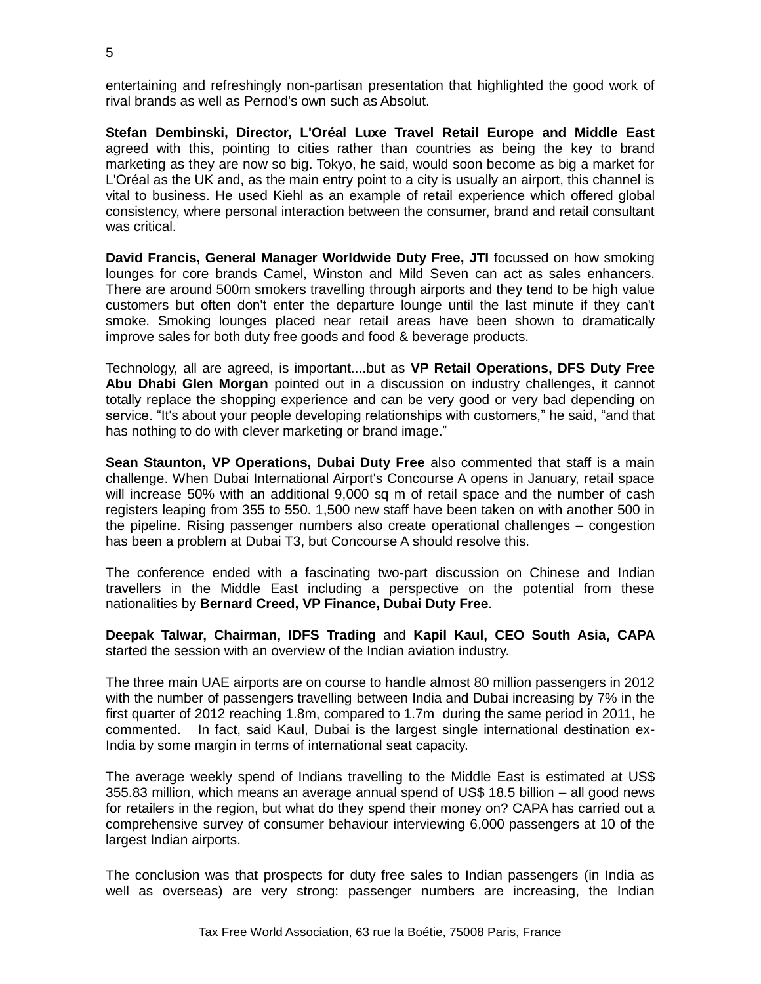entertaining and refreshingly non-partisan presentation that highlighted the good work of rival brands as well as Pernod's own such as Absolut.

**Stefan Dembinski, Director, L'Oréal Luxe Travel Retail Europe and Middle East** agreed with this, pointing to cities rather than countries as being the key to brand marketing as they are now so big. Tokyo, he said, would soon become as big a market for L'Oréal as the UK and, as the main entry point to a city is usually an airport, this channel is vital to business. He used Kiehl as an example of retail experience which offered global consistency, where personal interaction between the consumer, brand and retail consultant was critical.

**David Francis, General Manager Worldwide Duty Free, JTI** focussed on how smoking lounges for core brands Camel, Winston and Mild Seven can act as sales enhancers. There are around 500m smokers travelling through airports and they tend to be high value customers but often don't enter the departure lounge until the last minute if they can't smoke. Smoking lounges placed near retail areas have been shown to dramatically improve sales for both duty free goods and food & beverage products.

Technology, all are agreed, is important....but as **VP Retail Operations, DFS Duty Free Abu Dhabi Glen Morgan** pointed out in a discussion on industry challenges, it cannot totally replace the shopping experience and can be very good or very bad depending on service. "It's about your people developing relationships with customers," he said, "and that has nothing to do with clever marketing or brand image."

**Sean Staunton, VP Operations, Dubai Duty Free** also commented that staff is a main challenge. When Dubai International Airport's Concourse A opens in January, retail space will increase 50% with an additional 9,000 sq m of retail space and the number of cash registers leaping from 355 to 550. 1,500 new staff have been taken on with another 500 in the pipeline. Rising passenger numbers also create operational challenges – congestion has been a problem at Dubai T3, but Concourse A should resolve this.

The conference ended with a fascinating two-part discussion on Chinese and Indian travellers in the Middle East including a perspective on the potential from these nationalities by **Bernard Creed, VP Finance, Dubai Duty Free**.

**Deepak Talwar, Chairman, IDFS Trading** and **Kapil Kaul, CEO South Asia, CAPA** started the session with an overview of the Indian aviation industry.

The three main UAE airports are on course to handle almost 80 million passengers in 2012 with the number of passengers travelling between India and Dubai increasing by 7% in the first quarter of 2012 reaching 1.8m, compared to 1.7m during the same period in 2011, he commented. In fact, said Kaul, Dubai is the largest single international destination ex-India by some margin in terms of international seat capacity.

The average weekly spend of Indians travelling to the Middle East is estimated at US\$ 355.83 million, which means an average annual spend of US\$ 18.5 billion – all good news for retailers in the region, but what do they spend their money on? CAPA has carried out a comprehensive survey of consumer behaviour interviewing 6,000 passengers at 10 of the largest Indian airports.

The conclusion was that prospects for duty free sales to Indian passengers (in India as well as overseas) are very strong: passenger numbers are increasing, the Indian